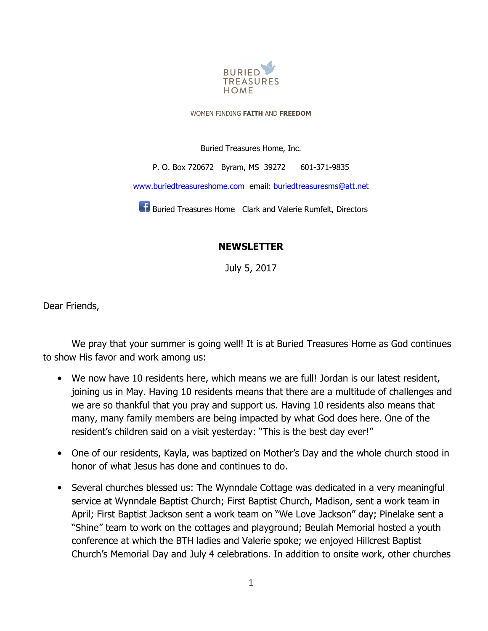

WOMEN FINDING **FAITH** AND **FREEDOM**

Buried Treasures Home, Inc.

P. O. Box 720672 Byram, MS 39272 601-371-9835

www.buriedtreasureshome.com email: buriedtreasuresms@att.net

**Buried Treasures Home** Clark and Valerie Rumfelt, Directors

## **NEWSLETTER**

July 5, 2017

Dear Friends,

We pray that your summer is going well! It is at Buried Treasures Home as God continues to show His favor and work among us:

- We now have 10 residents here, which means we are full! Jordan is our latest resident, joining us in May. Having 10 residents means that there are a multitude of challenges and we are so thankful that you pray and support us. Having 10 residents also means that many, many family members are being impacted by what God does here. One of the resident's children said on a visit yesterday: "This is the best day ever!"
- One of our residents, Kayla, was baptized on Mother's Day and the whole church stood in honor of what Jesus has done and continues to do.
- Several churches blessed us: The Wynndale Cottage was dedicated in a very meaningful service at Wynndale Baptist Church; First Baptist Church, Madison, sent a work team in April; First Baptist Jackson sent a work team on "We Love Jackson" day; Pinelake sent a "Shine" team to work on the cottages and playground; Beulah Memorial hosted a youth conference at which the BTH ladies and Valerie spoke; we enjoyed Hillcrest Baptist Church's Memorial Day and July 4 celebrations. In addition to onsite work, other churches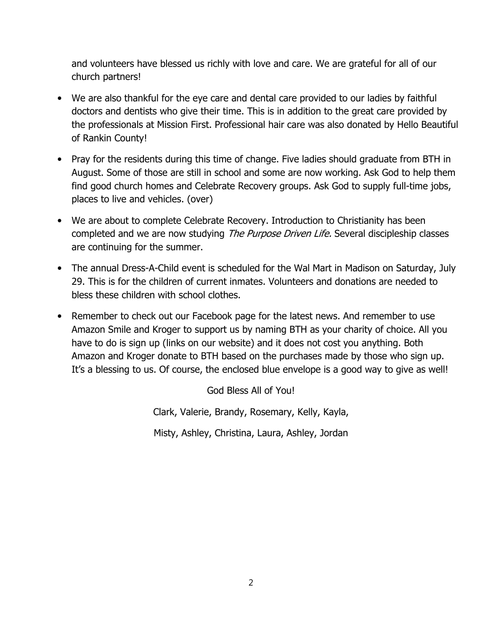and volunteers have blessed us richly with love and care. We are grateful for all of our church partners!

- We are also thankful for the eye care and dental care provided to our ladies by faithful doctors and dentists who give their time. This is in addition to the great care provided by the professionals at Mission First. Professional hair care was also donated by Hello Beautiful of Rankin County!
- Pray for the residents during this time of change. Five ladies should graduate from BTH in August. Some of those are still in school and some are now working. Ask God to help them find good church homes and Celebrate Recovery groups. Ask God to supply full-time jobs, places to live and vehicles. (over)
- We are about to complete Celebrate Recovery. Introduction to Christianity has been completed and we are now studying The Purpose Driven Life. Several discipleship classes are continuing for the summer.
- The annual Dress-A-Child event is scheduled for the Wal Mart in Madison on Saturday, July 29. This is for the children of current inmates. Volunteers and donations are needed to bless these children with school clothes.
- Remember to check out our Facebook page for the latest news. And remember to use Amazon Smile and Kroger to support us by naming BTH as your charity of choice. All you have to do is sign up (links on our website) and it does not cost you anything. Both Amazon and Kroger donate to BTH based on the purchases made by those who sign up. It's a blessing to us. Of course, the enclosed blue envelope is a good way to give as well!

God Bless All of You! Clark, Valerie, Brandy, Rosemary, Kelly, Kayla, Misty, Ashley, Christina, Laura, Ashley, Jordan